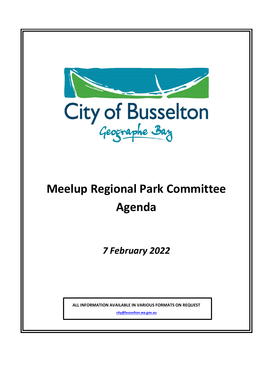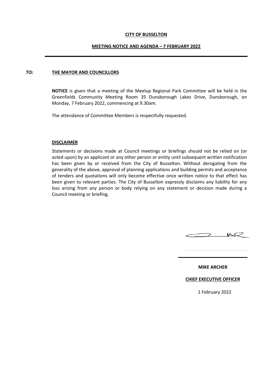### **CITY OF BUSSELTON**

### **MEETING NOTICE AND AGENDA – 7 FEBRUARY 2022**

### **TO: THE MAYOR AND COUNCILLORS**

**NOTICE** is given that a meeting of the Meelup Regional Park Committee will be held in the Greenfields Community Meeting Room 35 Dunsborough Lakes Drive, Dunsborough, on Monday, 7 February 2022, commencing at 9.30am.

The attendance of Committee Members is respectfully requested.

### **DISCLAIMER**

Statements or decisions made at Council meetings or briefings should not be relied on (or acted upon) by an applicant or any other person or entity until subsequent written notification has been given by or received from the City of Busselton. Without derogating from the generality of the above, approval of planning applications and building permits and acceptance of tenders and quotations will only become effective once written notice to that effect has been given to relevant parties. The City of Busselton expressly disclaims any liability for any loss arising from any person or body relying on any statement or decision made during a Council meeting or briefing.



**MIKE ARCHER**

### **CHIEF EXECUTIVE OFFICER**

1 February 2022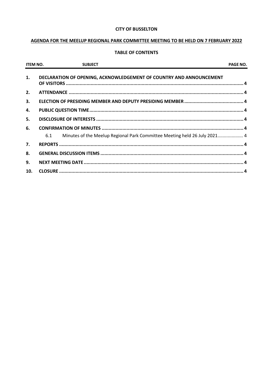### **CITY OF BUSSELTON**

## AGENDA FOR THE MEELUP REGIONAL PARK COMMITTEE MEETING TO BE HELD ON 7 FEBRUARY 2022

## **TABLE OF CONTENTS**

| <b>ITEM NO.</b> | <b>SUBJECT</b>                                                                   | PAGE NO. |
|-----------------|----------------------------------------------------------------------------------|----------|
| 1.              | DECLARATION OF OPENING, ACKNOWLEDGEMENT OF COUNTRY AND ANNOUNCEMENT              |          |
| 2.              |                                                                                  |          |
| 3.              |                                                                                  |          |
| 4.              |                                                                                  |          |
| 5.              |                                                                                  |          |
| 6.              |                                                                                  |          |
|                 | Minutes of the Meelup Regional Park Committee Meeting held 26 July 2021 4<br>6.1 |          |
| 7.              |                                                                                  |          |
| 8.              |                                                                                  |          |
| 9.              |                                                                                  |          |
| 10.             |                                                                                  |          |